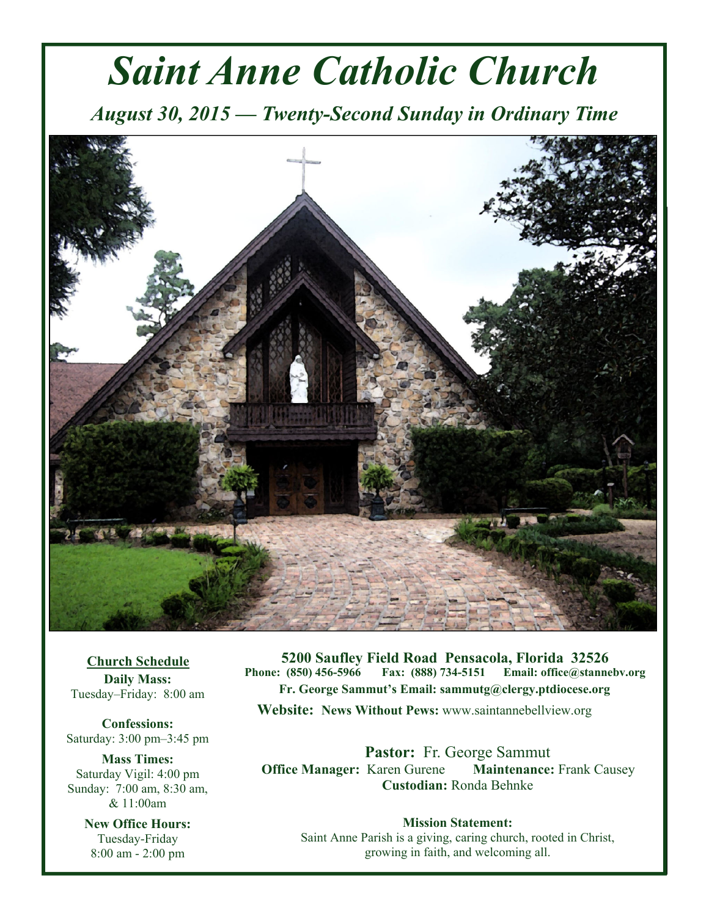# *Saint Anne Catholic Church*

*August 30, 2015 — Twenty-Second Sunday in Ordinary Time* 



**Church Schedule Daily Mass:**  Tuesday–Friday: 8:00 am

**Confessions:**  Saturday: 3:00 pm–3:45 pm

**Mass Times:**  Saturday Vigil: 4:00 pm Sunday: 7:00 am, 8:30 am, & 11:00am

> **New Office Hours:**  Tuesday-Friday 8:00 am - 2:00 pm

**5200 Saufley Field Road Pensacola, Florida 32526 Phone: (850) 456-5966 Fax: (888) 734-5151 Email: office@stannebv.org Fr. George Sammut's Email: sammutg@clergy.ptdiocese.org Website: News Without Pews:** www.saintannebellview.org

**Pastor:** Fr. George Sammut **Office Manager: Karen Gurene Maintenance: Frank Causey Custodian:** Ronda Behnke

**Mission Statement:** Saint Anne Parish is a giving, caring church, rooted in Christ, growing in faith, and welcoming all.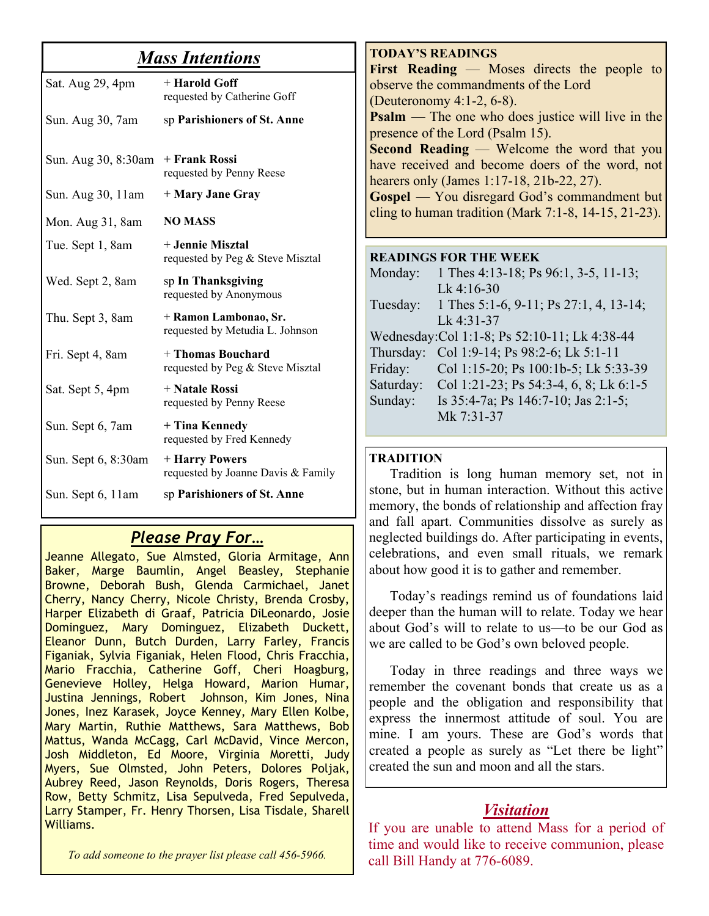### *Mass Intentions*

| Sat. Aug 29, 4pm    | + Harold Goff<br>requested by Catherine Goff             |
|---------------------|----------------------------------------------------------|
| Sun. Aug 30, 7am    | sp Parishioners of St. Anne                              |
| Sun. Aug 30, 8:30am | + Frank Rossi<br>requested by Penny Reese                |
| Sun. Aug 30, 11 am  | + Mary Jane Gray                                         |
| Mon. Aug 31, 8am    | <b>NO MASS</b>                                           |
| Tue. Sept 1, 8am    | + Jennie Misztal<br>requested by Peg & Steve Misztal     |
| Wed. Sept 2, 8am    | sp In Thanksgiving<br>requested by Anonymous             |
| Thu. Sept 3, 8am    | + Ramon Lambonao, Sr.<br>requested by Metudia L. Johnson |
| Fri. Sept 4, 8am    | + Thomas Bouchard<br>requested by Peg & Steve Misztal    |
| Sat. Sept 5, 4pm    | + Natale Rossi<br>requested by Penny Reese               |
| Sun. Sept 6, 7am    | + Tina Kennedy<br>requested by Fred Kennedy              |
| Sun. Sept 6, 8:30am | + Harry Powers<br>requested by Joanne Davis & Family     |
| Sun. Sept 6, 11am   | sp Parishioners of St. Anne                              |

#### *Please Pray For…*

Jeanne Allegato, Sue Almsted, Gloria Armitage, Ann Baker, Marge Baumlin, Angel Beasley, Stephanie Browne, Deborah Bush, Glenda Carmichael, Janet Cherry, Nancy Cherry, Nicole Christy, Brenda Crosby, Harper Elizabeth di Graaf, Patricia DiLeonardo, Josie Dominguez, Mary Dominguez, Elizabeth Duckett, Eleanor Dunn, Butch Durden, Larry Farley, Francis Figaniak, Sylvia Figaniak, Helen Flood, Chris Fracchia, Mario Fracchia, Catherine Goff, Cheri Hoagburg, Genevieve Holley, Helga Howard, Marion Humar, Justina Jennings, Robert Johnson, Kim Jones, Nina Jones, Inez Karasek, Joyce Kenney, Mary Ellen Kolbe, Mary Martin, Ruthie Matthews, Sara Matthews, Bob Mattus, Wanda McCagg, Carl McDavid, Vince Mercon, Josh Middleton, Ed Moore, Virginia Moretti, Judy Myers, Sue Olmsted, John Peters, Dolores Poljak, Aubrey Reed, Jason Reynolds, Doris Rogers, Theresa Row, Betty Schmitz, Lisa Sepulveda, Fred Sepulveda, Larry Stamper, Fr. Henry Thorsen, Lisa Tisdale, Sharell Williams.

**TODAY'S READINGS First Reading** — Moses directs the people to observe the commandments of the Lord (Deuteronomy 4:1-2, 6-8). **Psalm** — The one who does justice will live in the presence of the Lord (Psalm 15). **Second Reading** — Welcome the word that you have received and become doers of the word, not hearers only (James 1:17-18, 21b-22, 27). **Gospel** — You disregard God's commandment but cling to human tradition (Mark  $7:1-8$ ,  $14-15$ ,  $21-23$ ).

#### **READINGS FOR THE WEEK**

| Monday:   | 1 Thes 4:13-18; Ps 96:1, 3-5, 11-13;          |
|-----------|-----------------------------------------------|
|           | Lk 4:16-30                                    |
| Tuesday:  | 1 Thes 5:1-6, 9-11; Ps 27:1, 4, 13-14;        |
|           | Lk 4:31-37                                    |
|           | Wednesday: Col 1:1-8; Ps 52:10-11; Lk 4:38-44 |
| Thursday: | Col 1:9-14; Ps 98:2-6; Lk 5:1-11              |
| Friday:   | Col 1:15-20; Ps 100:1b-5; Lk 5:33-39          |
| Saturday: | Col 1:21-23; Ps 54:3-4, 6, 8; Lk 6:1-5        |
| Sunday:   | Is $35:4-7a$ ; Ps $146:7-10$ ; Jas $2:1-5$ ;  |
|           | Mk 7:31-37                                    |
|           |                                               |

#### **TRADITION**

Tradition is long human memory set, not in stone, but in human interaction. Without this active memory, the bonds of relationship and affection fray and fall apart. Communities dissolve as surely as neglected buildings do. After participating in events, celebrations, and even small rituals, we remark about how good it is to gather and remember.

 Today's readings remind us of foundations laid deeper than the human will to relate. Today we hear about God's will to relate to us—to be our God as we are called to be God's own beloved people.

 Today in three readings and three ways we remember the covenant bonds that create us as a people and the obligation and responsibility that express the innermost attitude of soul. You are mine. I am yours. These are God's words that created a people as surely as "Let there be light" created the sun and moon and all the stars.

#### *Visitation*

If you are unable to attend Mass for a period of time and would like to receive communion, please call Bill Handy at 776-6089.

*To add someone to the prayer list please call 456-5966.*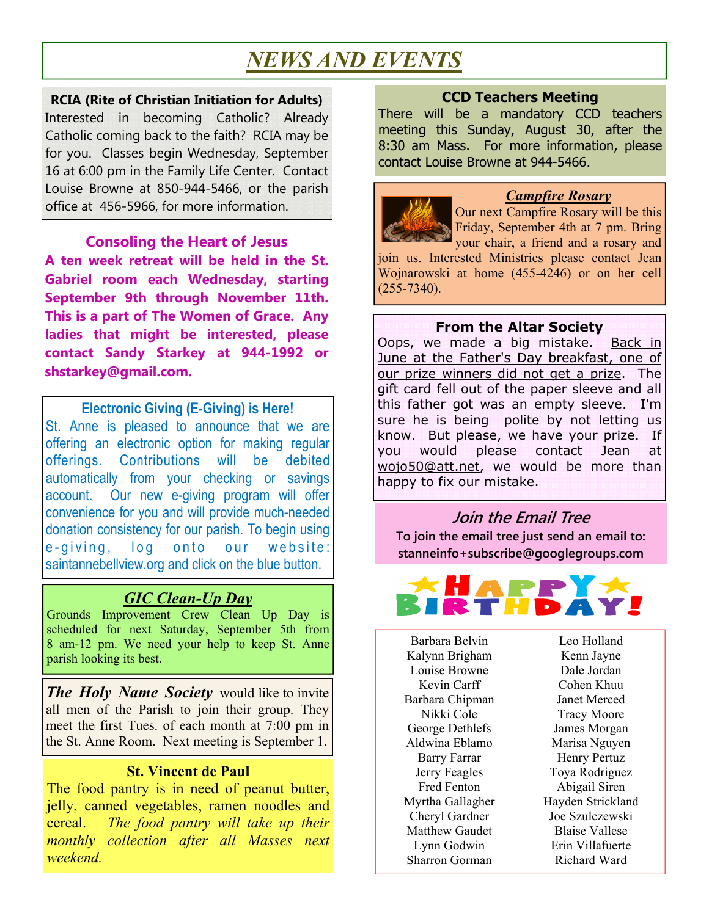# *NEWS AND EVENTS*

**RCIA (Rite of Christian Initiation for Adults)**  Interested in becoming Catholic? Already Catholic coming back to the faith? RCIA may be for you. Classes begin Wednesday, September 16 at 6:00 pm in the Family Life Center. Contact Louise Browne at 850-944-5466, or the parish office at 456-5966, for more information.

#### **Consoling the Heart of Jesus**

**A ten week retreat will be held in the St. Gabriel room each Wednesday, starting September 9th through November 11th. This is a part of The Women of Grace. Any ladies that might be interested, please contact Sandy Starkey at 944-1992 or shstarkey@gmail.com.**

#### **Electronic Giving (E-Giving) is Here!**

St. Anne is pleased to announce that we are offering an electronic option for making regular offerings. Contributions will be debited automatically from your checking or savings account. Our new e-giving program will offer convenience for you and will provide much-needed donation consistency for our parish. To begin using e-giving, log onto our website: saintannebellview.org and click on the blue button.

#### *GIC Clean-Up Day*

Grounds Improvement Crew Clean Up Day is scheduled for next Saturday, September 5th from 8 am-12 pm. We need your help to keep St. Anne parish looking its best.

*The Holy Name Society* would like to invite all men of the Parish to join their group. They meet the first Tues. of each month at 7:00 pm in the St. Anne Room. Next meeting is September 1.

#### **St. Vincent de Paul**

The food pantry is in need of peanut butter, jelly, canned vegetables, ramen noodles and cereal. *The food pantry will take up their monthly collection after all Masses next weekend.*

#### **CCD Teachers Meeting**

There will be a mandatory CCD teachers meeting this Sunday, August 30, after the 8:30 am Mass. For more information, please contact Louise Browne at 944-5466.



#### *Campfire Rosary*

Our next Campfire Rosary will be this Friday, September 4th at 7 pm. Bring your chair, a friend and a rosary and

join us. Interested Ministries please contact Jean Wojnarowski at home (455-4246) or on her cell  $(255 - 7340)$ .

#### **From the Altar Society**

Oops, we made a big mistake. Back in June at the Father's Day breakfast, one of our prize winners did not get a prize. The gift card fell out of the paper sleeve and all this father got was an empty sleeve. I'm sure he is being polite by not letting us know. But please, we have your prize. If you would please contact Jean at wojo50@att.net, we would be more than happy to fix our mistake.

#### **Join the Email Tree**

**To join the email tree just send an email to: stanneinfo+subscribe@googlegroups.com** 



Barbara Belvin Kalynn Brigham Louise Browne Kevin Carff Barbara Chipman Nikki Cole George Dethlefs Aldwina Eblamo Barry Farrar Jerry Feagles Fred Fenton Myrtha Gallagher Cheryl Gardner Matthew Gaudet Lynn Godwin Sharron Gorman

Leo Holland Kenn Jayne Dale Jordan Cohen Khuu Janet Merced Tracy Moore James Morgan Marisa Nguyen Henry Pertuz Toya Rodriguez Abigail Siren Hayden Strickland Joe Szulczewski Blaise Vallese Erin Villafuerte Richard Ward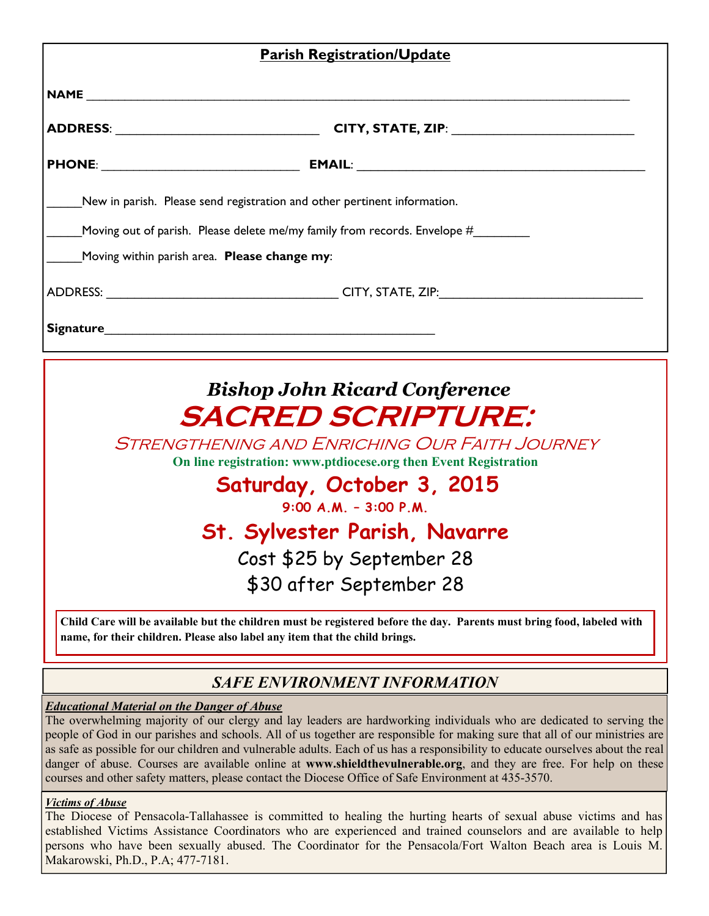| <b>Parish Registration/Update</b>                   |                                                                                                                                                                                                                               |  |  |  |  |  |
|-----------------------------------------------------|-------------------------------------------------------------------------------------------------------------------------------------------------------------------------------------------------------------------------------|--|--|--|--|--|
|                                                     |                                                                                                                                                                                                                               |  |  |  |  |  |
| ADDRESS: __________________________________         |                                                                                                                                                                                                                               |  |  |  |  |  |
|                                                     |                                                                                                                                                                                                                               |  |  |  |  |  |
|                                                     | New in parish. Please send registration and other pertinent information.<br>Moving out of parish. Please delete me/my family from records. Envelope #                                                                         |  |  |  |  |  |
| Moving within parish area. <b>Please change my:</b> |                                                                                                                                                                                                                               |  |  |  |  |  |
|                                                     |                                                                                                                                                                                                                               |  |  |  |  |  |
|                                                     | Signature and the state of the state of the state of the state of the state of the state of the state of the state of the state of the state of the state of the state of the state of the state of the state of the state of |  |  |  |  |  |

# *Bishop John Ricard Conference*  **SACRED SCRIPTURE:**

Strengthening and Enriching Our Faith Journey

**On line registration: www.ptdiocese.org then Event Registration**

**Saturday, October 3, 2015** 

**9:00 A.M. – 3:00 P.M.** 

# **St. Sylvester Parish, Navarre**

Cost \$25 by September 28 \$30 after September 28

**Child Care will be available but the children must be registered before the day. Parents must bring food, labeled with name, for their children. Please also label any item that the child brings.** 

#### *SAFE ENVIRONMENT INFORMATION*

#### *Educational Material on the Danger of Abuse*

The overwhelming majority of our clergy and lay leaders are hardworking individuals who are dedicated to serving the people of God in our parishes and schools. All of us together are responsible for making sure that all of our ministries are as safe as possible for our children and vulnerable adults. Each of us has a responsibility to educate ourselves about the real danger of abuse. Courses are available online at **www.shieldthevulnerable.org**, and they are free. For help on these courses and other safety matters, please contact the Diocese Office of Safe Environment at 435-3570.

#### *Victims of Abuse*

The Diocese of Pensacola-Tallahassee is committed to healing the hurting hearts of sexual abuse victims and has established Victims Assistance Coordinators who are experienced and trained counselors and are available to help persons who have been sexually abused. The Coordinator for the Pensacola/Fort Walton Beach area is Louis M. Makarowski, Ph.D., P.A; 477-7181.